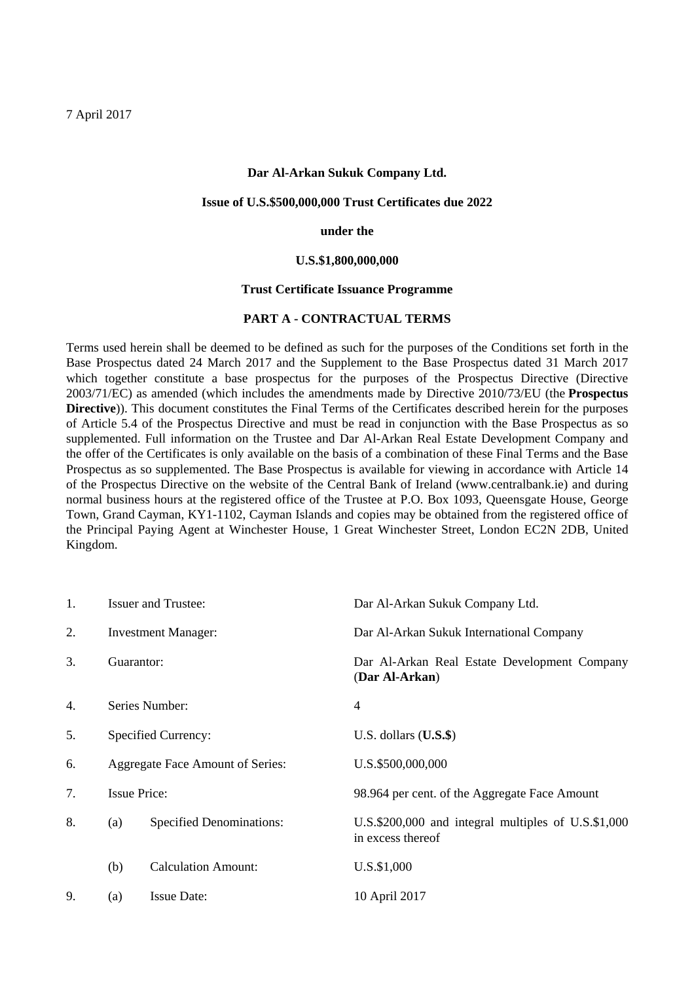#### **Dar Al-Arkan Sukuk Company Ltd.**

### **Issue of U.S.\$500,000,000 Trust Certificates due 2022**

#### **under the**

#### **U.S.\$1,800,000,000**

## **Trust Certificate Issuance Programme**

## **PART A - CONTRACTUAL TERMS**

Terms used herein shall be deemed to be defined as such for the purposes of the Conditions set forth in the Base Prospectus dated 24 March 2017 and the Supplement to the Base Prospectus dated 31 March 2017 which together constitute a base prospectus for the purposes of the Prospectus Directive (Directive 2003/71/EC) as amended (which includes the amendments made by Directive 2010/73/EU (the **Prospectus Directive**)). This document constitutes the Final Terms of the Certificates described herein for the purposes of Article 5.4 of the Prospectus Directive and must be read in conjunction with the Base Prospectus as so supplemented. Full information on the Trustee and Dar Al-Arkan Real Estate Development Company and the offer of the Certificates is only available on the basis of a combination of these Final Terms and the Base Prospectus as so supplemented. The Base Prospectus is available for viewing in accordance with Article 14 of the Prospectus Directive on the website of the Central Bank of Ireland (www.centralbank.ie) and during normal business hours at the registered office of the Trustee at P.O. Box 1093, Queensgate House, George Town, Grand Cayman, KY1-1102, Cayman Islands and copies may be obtained from the registered office of the Principal Paying Agent at Winchester House, 1 Great Winchester Street, London EC2N 2DB, United Kingdom.

| 1. | <b>Issuer and Trustee:</b> |                                         | Dar Al-Arkan Sukuk Company Ltd.                                             |  |  |
|----|----------------------------|-----------------------------------------|-----------------------------------------------------------------------------|--|--|
| 2. |                            | <b>Investment Manager:</b>              | Dar Al-Arkan Sukuk International Company                                    |  |  |
| 3. | Guarantor:                 |                                         | Dar Al-Arkan Real Estate Development Company<br>(Dar Al-Arkan)              |  |  |
| 4. |                            | Series Number:                          | 4                                                                           |  |  |
| 5. |                            | Specified Currency:                     | U.S. dollars $(U.S.\$ \$)                                                   |  |  |
| 6. |                            | <b>Aggregate Face Amount of Series:</b> | U.S.\$500,000,000                                                           |  |  |
| 7. | <b>Issue Price:</b>        |                                         | 98.964 per cent. of the Aggregate Face Amount                               |  |  |
| 8. | (a)                        | <b>Specified Denominations:</b>         | U.S.\$200,000 and integral multiples of $U.S.$ \$1,000<br>in excess thereof |  |  |
|    | (b)                        | <b>Calculation Amount:</b>              | U.S.\$1,000                                                                 |  |  |
| 9. | (a)                        | <b>Issue Date:</b>                      | 10 April 2017                                                               |  |  |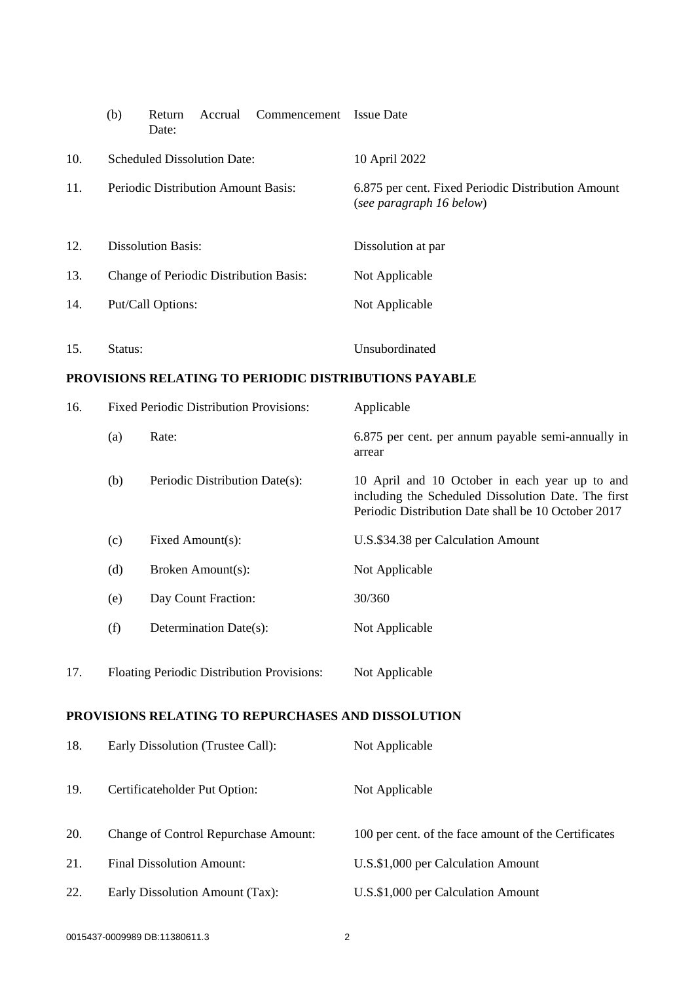|                                                       | (b)                                            | Return<br>Date: | Accrual                | Commencement                   | <b>Issue Date</b>                                                                                                                                            |  |  |
|-------------------------------------------------------|------------------------------------------------|-----------------|------------------------|--------------------------------|--------------------------------------------------------------------------------------------------------------------------------------------------------------|--|--|
| 10.                                                   | <b>Scheduled Dissolution Date:</b>             |                 |                        |                                | 10 April 2022                                                                                                                                                |  |  |
| 11.                                                   | Periodic Distribution Amount Basis:            |                 |                        |                                | 6.875 per cent. Fixed Periodic Distribution Amount<br>(see paragraph 16 below)                                                                               |  |  |
| 12.                                                   | <b>Dissolution Basis:</b>                      |                 |                        |                                | Dissolution at par                                                                                                                                           |  |  |
| 13.                                                   | Change of Periodic Distribution Basis:         |                 |                        |                                | Not Applicable                                                                                                                                               |  |  |
| 14.                                                   | Put/Call Options:                              |                 |                        |                                | Not Applicable                                                                                                                                               |  |  |
| 15.                                                   | Status:                                        |                 |                        |                                | Unsubordinated                                                                                                                                               |  |  |
| PROVISIONS RELATING TO PERIODIC DISTRIBUTIONS PAYABLE |                                                |                 |                        |                                |                                                                                                                                                              |  |  |
| 16.                                                   | <b>Fixed Periodic Distribution Provisions:</b> |                 |                        | Applicable                     |                                                                                                                                                              |  |  |
|                                                       | (a)                                            | Rate:           |                        |                                | 6.875 per cent. per annum payable semi-annually in<br>arrear                                                                                                 |  |  |
|                                                       | (b)                                            |                 |                        | Periodic Distribution Date(s): | 10 April and 10 October in each year up to and<br>including the Scheduled Dissolution Date. The first<br>Periodic Distribution Date shall be 10 October 2017 |  |  |
|                                                       | (c)                                            |                 | Fixed Amount(s):       |                                | U.S.\$34.38 per Calculation Amount                                                                                                                           |  |  |
|                                                       | (d)                                            |                 | Broken Amount(s):      |                                | Not Applicable                                                                                                                                               |  |  |
|                                                       | (e)                                            |                 | Day Count Fraction:    |                                | 30/360                                                                                                                                                       |  |  |
|                                                       | (f)                                            |                 | Determination Date(s): |                                | Not Applicable                                                                                                                                               |  |  |
| 17.                                                   | Floating Periodic Distribution Provisions:     |                 |                        | Not Applicable                 |                                                                                                                                                              |  |  |
| PROVISIONS RELATING TO REPURCHASES AND DISSOLUTION    |                                                |                 |                        |                                |                                                                                                                                                              |  |  |
| 18.                                                   | Early Dissolution (Trustee Call):              |                 |                        |                                | Not Applicable                                                                                                                                               |  |  |
| 19.                                                   | Certificateholder Put Option:                  |                 |                        | Not Applicable                 |                                                                                                                                                              |  |  |
| 20.                                                   | <b>Change of Control Repurchase Amount:</b>    |                 |                        |                                | 100 per cent. of the face amount of the Certificates                                                                                                         |  |  |
| 21.                                                   | <b>Final Dissolution Amount:</b>               |                 |                        |                                | U.S.\$1,000 per Calculation Amount                                                                                                                           |  |  |
| 22.                                                   | Early Dissolution Amount (Tax):                |                 |                        |                                | U.S.\$1,000 per Calculation Amount                                                                                                                           |  |  |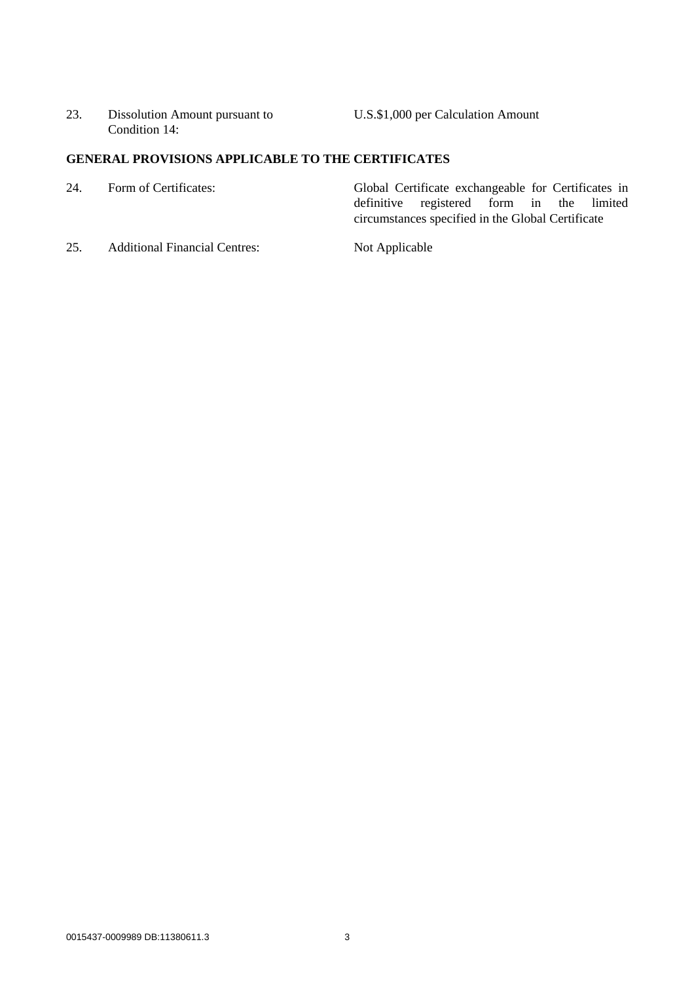23. Dissolution Amount pursuant to Condition 14:

U.S.\$1,000 per Calculation Amount

# **GENERAL PROVISIONS APPLICABLE TO THE CERTIFICATES**

| 24.           | Form of Certificates:                                                                                                                                                                                                                                                                                                                                                                                                        | Global Certificate exchangeable for Certificates in |
|---------------|------------------------------------------------------------------------------------------------------------------------------------------------------------------------------------------------------------------------------------------------------------------------------------------------------------------------------------------------------------------------------------------------------------------------------|-----------------------------------------------------|
|               |                                                                                                                                                                                                                                                                                                                                                                                                                              | definitive registered form in the limited           |
|               |                                                                                                                                                                                                                                                                                                                                                                                                                              | circumstances specified in the Global Certificate   |
| $\sim$ $\sim$ | $\mathbf{A} = \mathbf{A} + \mathbf{A} + \mathbf{A} + \mathbf{A} + \mathbf{A} + \mathbf{A} + \mathbf{A} + \mathbf{A} + \mathbf{A} + \mathbf{A} + \mathbf{A} + \mathbf{A} + \mathbf{A} + \mathbf{A} + \mathbf{A} + \mathbf{A} + \mathbf{A} + \mathbf{A} + \mathbf{A} + \mathbf{A} + \mathbf{A} + \mathbf{A} + \mathbf{A} + \mathbf{A} + \mathbf{A} + \mathbf{A} + \mathbf{A} + \mathbf{A} + \mathbf{A} + \mathbf{A} + \mathbf$ | <b>TT:</b> A 11 11                                  |

25. Additional Financial Centres: Not Applicable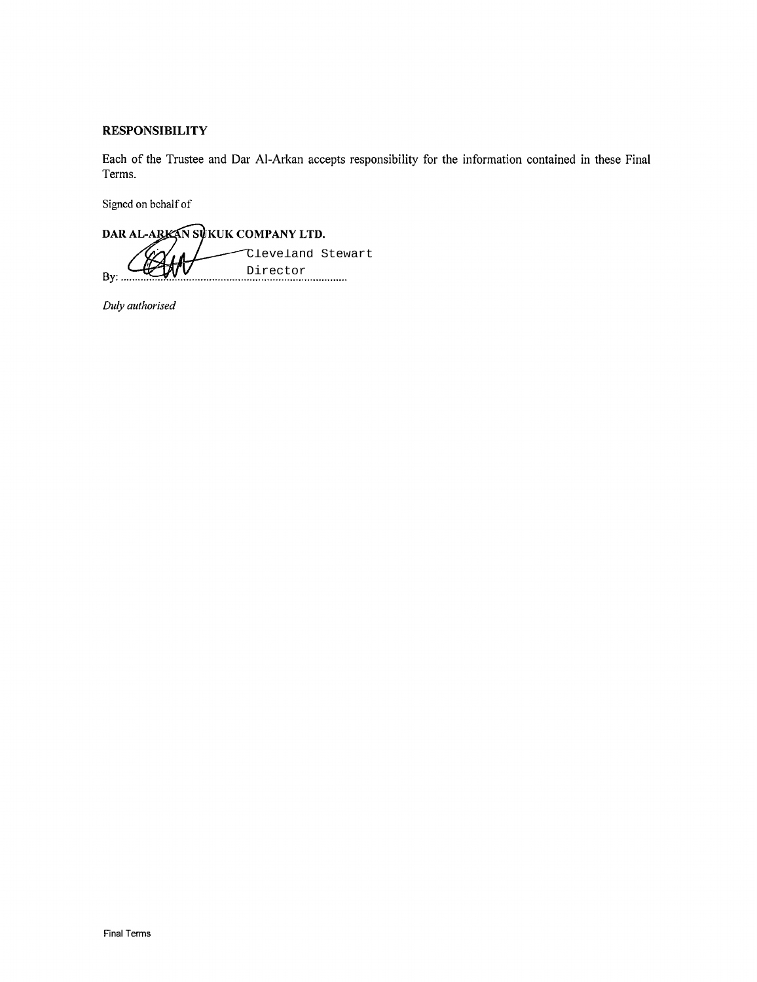# **RESPONSIBILITY**

Each of the Trustee and Dar Al-Arkan accepts responsibility for the information contained in these Final Terms.

Signed on behalf of

DAR AL-ARKAN SUKUK COMPANY LTD. Cleveland Stewart Director By:  $\ldots$ . . . . . . . . . . . .

Duly authorised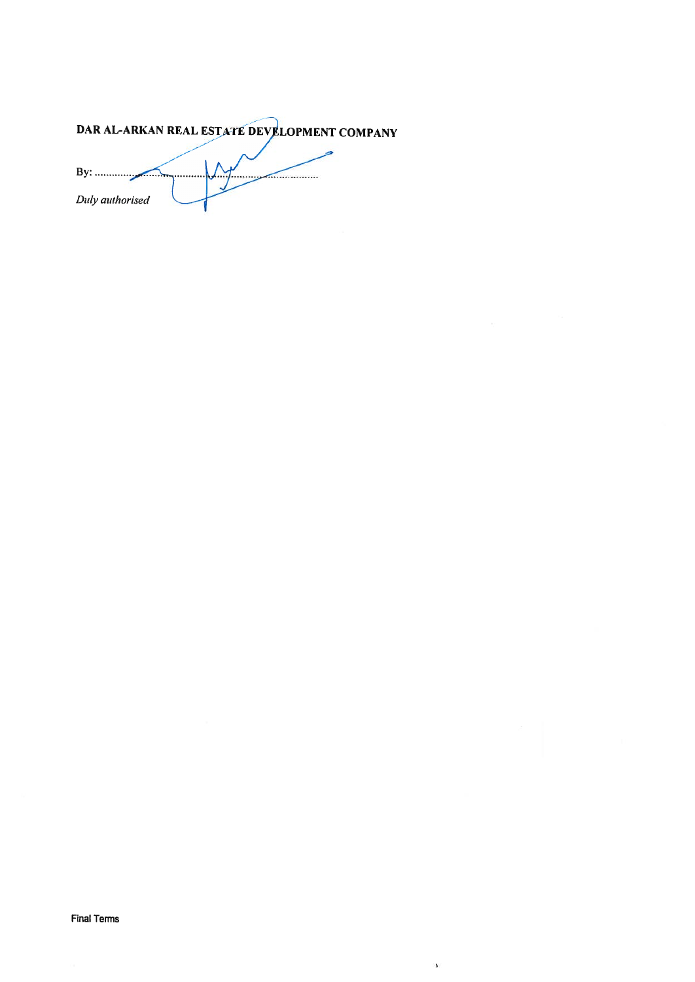DAR AL-ARKAN REAL ESTATE DEVELOPMENT COMPANY

By:  $\sim$ Duly authorised

 $\bar{\mathbf{r}}$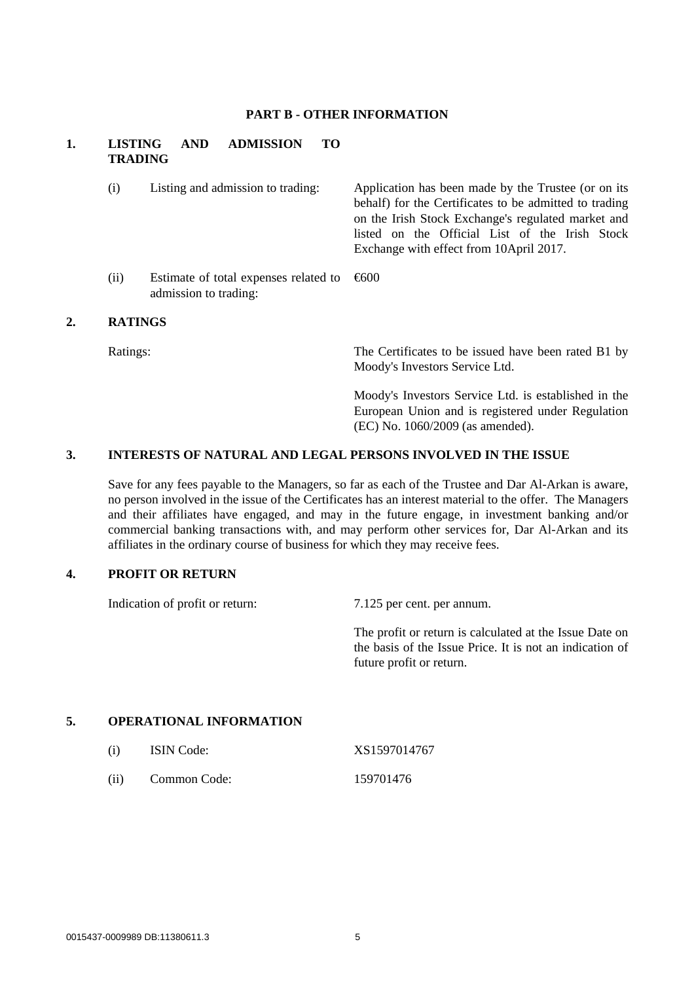### **PART B - OTHER INFORMATION**

## **1. LISTING AND ADMISSION TO TRADING**

(i) Listing and admission to trading: Application has been made by the Trustee (or on its behalf) for the Certificates to be admitted to trading on the Irish Stock Exchange's regulated market and listed on the Official List of the Irish Stock Exchange with effect from 10April 2017. (ii) Estimate of total expenses related to admission to trading: €600

### **2. RATINGS**

Ratings: The Certificates to be issued have been rated B1 by Moody's Investors Service Ltd.

> Moody's Investors Service Ltd. is established in the European Union and is registered under Regulation (EC) No. 1060/2009 (as amended).

## **3. INTERESTS OF NATURAL AND LEGAL PERSONS INVOLVED IN THE ISSUE**

Save for any fees payable to the Managers, so far as each of the Trustee and Dar Al-Arkan is aware, no person involved in the issue of the Certificates has an interest material to the offer. The Managers and their affiliates have engaged, and may in the future engage, in investment banking and/or commercial banking transactions with, and may perform other services for, Dar Al-Arkan and its affiliates in the ordinary course of business for which they may receive fees.

### **4. PROFIT OR RETURN**

Indication of profit or return: 7.125 per cent. per annum.

The profit or return is calculated at the Issue Date on the basis of the Issue Price. It is not an indication of future profit or return.

## **5. OPERATIONAL INFORMATION**

| (i)  | <b>ISIN</b> Code: | XS1597014767 |
|------|-------------------|--------------|
| (ii) | Common Code:      | 159701476    |